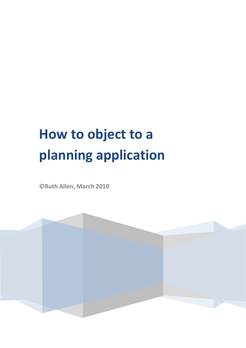# **How to object to a planning application**

**©Ruth Allen, March 2010** 

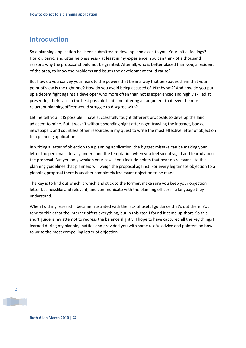# **Introduction**

So a planning application has been submitted to develop land close to you. Your initial feelings? Horror, panic, and utter helplessness - at least in my experience. You can think of a thousand reasons why the proposal should not be granted. After all, who is better placed than you, a resident of the area, to know the problems and issues the development could cause?

But how do you convey your fears to the powers that be in a way that persuades them that your point of view is the right one? How do you avoid being accused of 'Nimbyism?' And how do you put up a decent fight against a developer who more often than not is experienced and highly skilled at presenting their case in the best possible light, and offering an argument that even the most reluctant planning officer would struggle to disagree with?

Let me tell you: it IS possible. I have successfully fought different proposals to develop the land adjacent to mine. But it wasn't without spending night after night trawling the internet, books, newspapers and countless other resources in my quest to write the most effective letter of objection to a planning application.

In writing a letter of objection to a planning application, the biggest mistake can be making your letter too personal. I totally understand the temptation when you feel so outraged and fearful about the proposal. But you only weaken your case if you include points that bear no relevance to the planning guidelines that planners will weigh the proposal against. For every legitimate objection to a planning proposal there is another completely irrelevant objection to be made.

The key is to find out which is which and stick to the former, make sure you keep your objection letter businesslike and relevant, and communicate with the planning officer in a language they understand.

When I did my research I became frustrated with the lack of useful guidance that's out there. You tend to think that the internet offers everything, but in this case I found it came up short. So this short guide is my attempt to redress the balance slightly. I hope to have captured all the key things I learned during my planning battles and provided you with some useful advice and pointers on how to write the most compelling letter of objection.

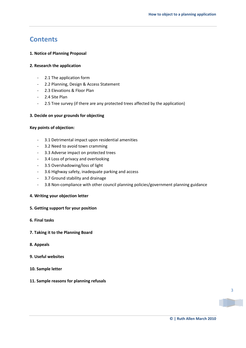# **Contents**

### **1. Notice of Planning Proposal**

### **2. Research the application**

- 2.1 The application form
- 2.2 Planning, Design & Access Statement
- 2.3 Elevations & Floor Plan
- 2.4 Site Plan
- 2.5 Tree survey (if there are any protected trees affected by the application)

### **3. Decide on your grounds for objecting**

### **Key points of objection:**

- 3.1 Detrimental impact upon residential amenities
- 3.2 Need to avoid town cramming
- 3.3 Adverse impact on protected trees
- 3.4 Loss of privacy and overlooking
- 3.5 Overshadowing/loss of light
- 3.6 Highway safety, inadequate parking and access
- 3.7 Ground stability and drainage
- 3.8 Non-compliance with other council planning policies/government planning guidance

### **4. Writing your objection letter**

### **5. Getting support for your position**

- **6. Final tasks**
- **7. Taking it to the Planning Board**

### **8. Appeals**

- **9. Useful websites**
- **10. Sample letter**
- **11. Sample reasons for planning refusals**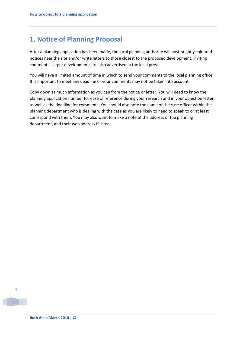# **1. Notice of Planning Proposal**

After a planning application has been made, the local planning authority will post brightly coloured notices near the site and/or write letters to those closest to the proposed development, inviting comments. Larger developments are also advertised in the local press.

You will have a limited amount of time in which to send your comments to the local planning office. It is important to meet any deadline or your comments may not be taken into account.

Copy down as much information as you can from the notice or letter. You will need to know the planning application number for ease of reference during your research and in your objection letter, as well as the deadline for comments. You should also note the name of the case officer within the planning department who is dealing with the case as you are likely to need to speak to or at least correspond with them. You may also want to make a note of the address of the planning department, and their web address if listed.

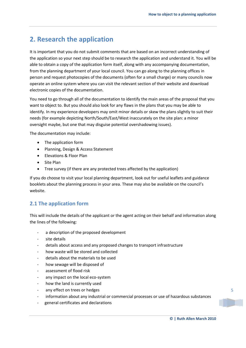# **2. Research the application**

It is important that you do not submit comments that are based on an incorrect understanding of the application so your next step should be to research the application and understand it. You will be able to obtain a copy of the application form itself, along with any accompanying documentation, from the planning department of your local council. You can go along to the planning offices in person and request photocopies of the documents (often for a small charge) or many councils now operate an online system where you can visit the relevant section of their website and download electronic copies of the documentation.

You need to go through all of the documentation to identify the main areas of the proposal that you want to object to. But you should also look for any flaws in the plans that you may be able to identify. In my experience developers may omit minor details or skew the plans slightly to suit their needs (for example depicting North/South/East/West inaccurately on the site plan: a minor oversight maybe, but one that may disguise potential overshadowing issues).

The documentation may include:

- The application form
- Planning, Design & Access Statement
- Flevations & Floor Plan
- Site Plan
- Tree survey (if there are any protected trees affected by the application)

If you do choose to visit your local planning department, look out for useful leaflets and guidance booklets about the planning process in your area. These may also be available on the council's website.

### **2.1 The application form**

This will include the details of the applicant or the agent acting on their behalf and information along the lines of the following:

- a description of the proposed development
- site details
- details about access and any proposed changes to transport infrastructure
- how waste will be stored and collected
- details about the materials to be used
- how sewage will be disposed of
- assessment of flood risk
- any impact on the local eco-system
- how the land is currently used
- any effect on trees or hedges
- information about any industrial or commercial processes or use of hazardous substances
- general certificates and declarations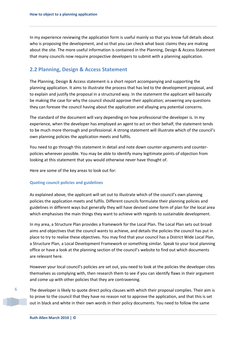In my experience reviewing the application form is useful mainly so that you know full details about who is proposing the development, and so that you can check what basic claims they are making about the site. The more useful information is contained in the Planning, Design & Access Statement that many councils now require prospective developers to submit with a planning application.

### **2.2 Planning, Design & Access Statement**

The Planning, Design & Access statement is a short report accompanying and supporting the planning application. It aims to illustrate the process that has led to the development proposal, and to explain and justify the proposal in a structured way. In the statement the applicant will basically be making the case for why the council should approve their application; answering any questions they can foresee the council having about the application and allaying any potential concerns.

The standard of the document will vary depending on how professional the developer is. In my experience, when the developer has employed an agent to act on their behalf, the statement tends to be much more thorough and professional. A strong statement will illustrate which of the council's own planning policies the application meets and fulfils.

You need to go through this statement in detail and note down counter-arguments and counterpolicies wherever possible. You may be able to identify many legitimate points of objection from looking at this statement that you would otherwise never have thought of.

Here are some of the key areas to look out for:

#### **Quoting council policies and guidelines**

As explained above, the applicant will set out to illustrate which of the council's own planning policies the application meets and fulfils. Different councils formulate their planning policies and guidelines in different ways but generally they will have devised some form of plan for the local area which emphasises the main things they want to achieve with regards to sustainable development.

In my area, a Structure Plan provides a framework for the Local Plan. The Local Plan sets out broad aims and objectives that the council wants to achieve, and details the policies the council has put in place to try to realise these objectives. You may find that your council has a District Wide Local Plan, a Structure Plan, a Local Development Framework or something similar. Speak to your local planning office or have a look at the planning section of the council's website to find out which documents are relevant here.

However your local council's policies are set out, you need to look at the policies the developer cites themselves as complying with, then research them to see if you can identify flaws in their argument and come up with other policies that they are contravening.

The developer is likely to quote direct policy clauses with which their proposal complies. Their aim is to prove to the council that they have no reason not to approve the application, and that this is set out in black and white in their own words in their policy documents. You need to follow the same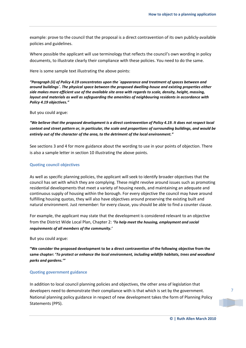example: prove to the council that the proposal is a direct contravention of its own publicly-available policies and guidelines.

Where possible the applicant will use terminology that reflects the council's own wording in policy documents, to illustrate clearly their compliance with these policies. You need to do the same.

Here is some sample text illustrating the above points:

*"Paragraph (ii) of Policy 4.19 concentrates upon the `appearance and treatment of spaces between and around buildings`. The physical space between the proposed dwelling-house and existing properties either side makes more efficient use of the available site area with regards to scale, density, height, massing, layout and materials as well as safeguarding the amenities of neighbouring residents in accordance with Policy 4.19 objectives."*

But you could argue:

*"We believe that the proposed development is a direct contravention of Policy 4.19. It does not respect local context and street pattern or, in particular, the scale and proportions of surrounding buildings, and would be entirely out of the character of the area, to the detriment of the local environment."*

See sections 3 and 4 for more guidance about the wording to use in your points of objection. There is also a sample letter in section 10 illustrating the above points.

#### **Quoting council objectives**

As well as specific planning policies, the applicant will seek to identify broader objectives that the council has set with which they are complying. These might revolve around issues such as promoting residential developments that meet a variety of housing needs, and maintaining an adequate and continuous supply of housing within the borough. For every objective the council may have around fulfilling housing quotas, they will also have objectives around preserving the existing built and natural environment. Just remember: for every clause, you should be able to find a counter clause.

For example, the applicant may state that the development is considered relevant to an objective from the District Wide Local Plan, Chapter 2: *'To help meet the housing, employment and social requirements of all members of the community.'*

But you could argue:

**"We consider the proposed development to be a direct contravention of the following objective from the same chapter: '***To protect or enhance the local environment, including wildlife habitats, trees and woodland parks and gardens.'"*

#### **Quoting government guidance**

In addition to local council planning policies and objectives, the other area of legislation that developers need to demonstrate their compliance with is that which is set by the government. National planning policy guidance in respect of new development takes the form of Planning Policy Statements (PPS).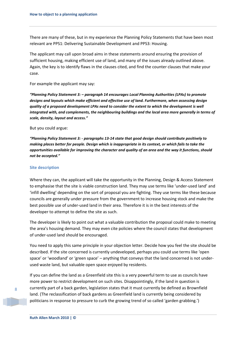There are many of these, but in my experience the Planning Policy Statements that have been most relevant are PPS1: Delivering Sustainable Development and PPS3: Housing.

The applicant may call upon broad aims in these statements around ensuring the provision of sufficient housing, making efficient use of land, and many of the issues already outlined above. Again, the key is to identify flaws in the clauses cited, and find the counter clauses that make your case.

For example the applicant may say:

*"Planning Policy Statement 3: – paragraph 14 encourages Local Planning Authorities (LPAs) to promote designs and layouts which make efficient and effective use of land. Furthermore, when assessing design quality of a proposed development LPAs need to consider the extent to which the development is well integrated with, and complements, the neighbouring buildings and the local area more generally in terms of scale, density, layout and access."*

#### But you could argue:

*"Planning Policy Statement 3: - paragraphs 13-14 state that good design should contribute positively to making places better for people. Design which is inappropriate in its context, or which fails to take the opportunities available for improving the character and quality of an area and the way it functions, should not be accepted."*

#### **Site description**

Where they can, the applicant will take the opportunity in the Planning, Design & Access Statement to emphasise that the site is viable construction land. They may use terms like 'under-used land' and 'infill dwelling' depending on the sort of proposal you are fighting. They use terms like these because councils are generally under pressure from the government to increase housing stock and make the best possible use of under-used land in their area. Therefore it is in the best interests of the developer to attempt to define the site as such.

The developer is likely to point out what a valuable contribution the proposal could make to meeting the area's housing demand. They may even cite policies where the council states that development of under-used land should be encouraged.

You need to apply this same principle in your objection letter. Decide how you feel the site should be described. If the site concerned is currently undeveloped, perhaps you could use terms like 'open space' or 'woodland' or 'green space' – anything that conveys that the land concerned is not underused waste land, but valuable open space enjoyed by residents.

If you can define the land as a Greenfield site this is a very powerful term to use as councils have more power to restrict development on such sites. Disappointingly, if the land in question is currently part of a back garden, legislation states that it must currently be defined as Brownfield land. (The reclassification of back gardens as Greenfield land is currently being considered by politicians in response to pressure to curb the growing trend of so called 'garden grabbing.')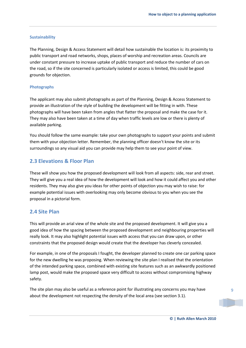#### **Sustainability**

The Planning, Design & Access Statement will detail how sustainable the location is: its proximity to public transport and road networks, shops, places of worship and recreation areas. Councils are under constant pressure to increase uptake of public transport and reduce the number of cars on the road, so if the site concerned is particularly isolated or access is limited, this could be good grounds for objection.

#### **Photographs**

The applicant may also submit photographs as part of the Planning, Design & Access Statement to provide an illustration of the style of building the development will be fitting in with. These photographs will have been taken from angles that flatter the proposal and make the case for it. They may also have been taken at a time of day when traffic levels are low or there is plenty of available parking.

You should follow the same example: take your own photographs to support your points and submit them with your objection letter. Remember, the planning officer doesn't know the site or its surroundings so any visual aid you can provide may help them to see your point of view.

### **2.3 Elevations & Floor Plan**

These will show you how the proposed development will look from all aspects: side, rear and street. They will give you a real idea of how the development will look and how it could affect you and other residents. They may also give you ideas for other points of objection you may wish to raise: for example potential issues with overlooking may only become obvious to you when you see the proposal in a pictorial form.

### **2.4 Site Plan**

This will provide an arial view of the whole site and the proposed development. It will give you a good idea of how the spacing between the proposed development and neighbouring properties will really look. It may also highlight potential issues with access that you can draw upon, or other constraints that the proposed design would create that the developer has cleverly concealed.

For example, in one of the proposals I fought, the developer planned to create one car parking space for the new dwelling he was proposing. When reviewing the site plan I realised that the orientation of the intended parking space, combined with existing site features such as an awkwardly positioned lamp post, would make the proposed space very difficult to access without compromising highway safety.

The site plan may also be useful as a reference point for illustrating any concerns you may have about the development not respecting the density of the local area (see section 3.1).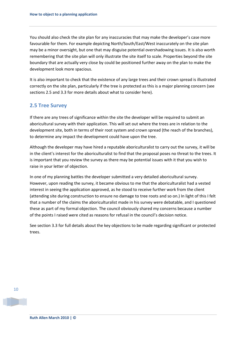You should also check the site plan for any inaccuracies that may make the developer's case more favourable for them. For example depicting North/South/East/West inaccurately on the site plan may be a minor oversight, but one that may disguise potential overshadowing issues. It is also worth remembering that the site plan will only illustrate the site itself to scale. Properties beyond the site boundary that are actually very close by could be positioned further away on the plan to make the development look more spacious.

It is also important to check that the existence of any large trees and their crown spread is illustrated correctly on the site plan, particularly if the tree is protected as this is a major planning concern (see sections 2.5 and 3.3 for more details about what to consider here).

### **2.5 Tree Survey**

If there are any trees of significance within the site the developer will be required to submit an aboricultural survey with their application. This will set out where the trees are in relation to the development site, both in terms of their root system and crown spread (the reach of the branches), to determine any impact the development could have upon the tree.

Although the developer may have hired a reputable aboriculturalist to carry out the survey, it will be in the client's interest for the aboriculturalist to find that the proposal poses no threat to the trees. It is important that you review the survey as there may be potential issues with it that you wish to raise in your letter of objection.

In one of my planning battles the developer submitted a very detailed aboricultural survey. However, upon reading the survey, it became obvious to me that the aboriculturalist had a vested interest in seeing the application approved, as he stood to receive further work from the client (attending site during construction to ensure no damage to tree roots and so on.) In light of this I felt that a number of the claims the aboriculturalist made in his survey were debatable, and I questioned these as part of my formal objection. The council obviously shared my concerns because a number of the points I raised were cited as reasons for refusal in the council's decision notice.

See section 3.3 for full details about the key objections to be made regarding significant or protected trees.

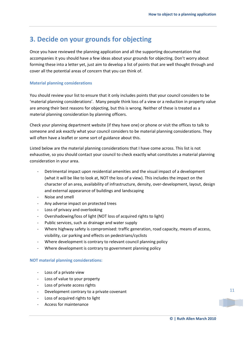# **3. Decide on your grounds for objecting**

Once you have reviewed the planning application and all the supporting documentation that accompanies it you should have a few ideas about your grounds for objecting. Don't worry about forming these into a letter yet, just aim to develop a list of points that are well thought through and cover all the potential areas of concern that you can think of.

### **Material planning considerations**

You should review your list to ensure that it only includes points that your council considers to be 'material planning considerations'. Many people think loss of a view or a reduction in property value are among their best reasons for objecting, but this is wrong. Neither of these is treated as a material planning consideration by planning officers.

Check your planning department website (if they have one) or phone or visit the offices to talk to someone and ask exactly what your council considers to be material planning considerations. They will often have a leaflet or some sort of guidance about this.

Listed below are the material planning considerations that I have come across. This list is not exhaustive, so you should contact your council to check exactly what constitutes a material planning consideration in your area.

- Detrimental impact upon residential amenities and the visual impact of a development (what it will be like to look at, NOT the loss of a view). This includes the impact on the character of an area, availability of infrastructure, density, over-development, layout, design and external appearance of buildings and landscaping
- Noise and smell
- Any adverse impact on protected trees
- Loss of privacy and overlooking
- Overshadowing/loss of light (NOT loss of acquired rights to light)
- Public services, such as drainage and water supply
- Where highway safety is compromised: traffic generation, road capacity, means of access, visibility, car parking and effects on pedestrians/cyclists
- Where development is contrary to relevant council planning policy
- Where development is contrary to government planning policy

### **NOT material planning considerations:**

- Loss of a private view
- Loss of value to your property
- Loss of private access rights
- Development contrary to a private covenant
- Loss of acquired rights to light
- Access for maintenance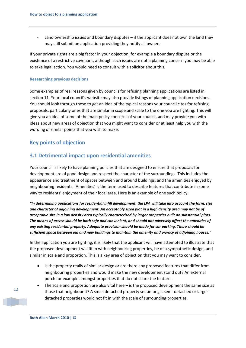Land ownership issues and boundary disputes  $-$  if the applicant does not own the land they may still submit an application providing they notify all owners

If your private rights are a big factor in your objection, for example a boundary dispute or the existence of a restrictive covenant, although such issues are not a planning concern you may be able to take legal action. You would need to consult with a solicitor about this.

#### **Researching previous decisions**

Some examples of real reasons given by councils for refusing planning applications are listed in section 11. Your local council's website may also provide listings of planning application decisions. You should look through these to get an idea of the typical reasons your council cites for refusing proposals, particularly ones that are similar in scope and scale to the one you are fighting. This will give you an idea of some of the main policy concerns of your council, and may provide you with ideas about new areas of objection that you might want to consider or at least help you with the wording of similar points that you wish to make.

### **Key points of objection**

### **3.1 Detrimental impact upon residential amenities**

Your council is likely to have planning policies that are designed to ensure that proposals for development are of good design and respect the character of the surroundings. This includes the appearance and treatment of spaces between and around buildings, and the amenities enjoyed by neighbouring residents. 'Amenities' is the term used to describe features that contribute in some way to residents' enjoyment of their local area. Here is an example of one such policy:

*"In determining applications for residential infill development, the LPA will take into account the form, size and character of adjoining development. An acceptably sized plot in a high density area may not be of acceptable size in a low density area typically characterised by larger properties built on substantial plots. The means of access should be both safe and convenient, and should not adversely affect the amenities of any existing residential property. Adequate provision should be made for car parking. There should be sufficient space between old and new buildings to maintain the amenity and privacy of adjoining houses."*

In the application you are fighting, it is likely that the applicant will have attempted to illustrate that the proposed development will fit in with neighbouring properties, be of a sympathetic design, and similar in scale and proportion. This is a key area of objection that you may want to consider.

- Is the property really of similar design or are there any proposed features that differ from neighbouring properties and would make the new development stand out? An external porch for example amongst properties that do not share the feature.
- The scale and proportion are also vital here  $-$  is the proposed development the same size as those that neighbour it? A small detached property set amongst semi-detached or larger detached properties would not fit in with the scale of surrounding properties.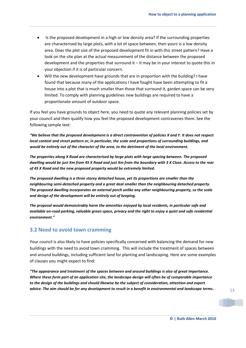- Is the proposed development in a high or low density area? If the surrounding properties are characterised by large plots, with a lot of space between, then yours is a low density area. Does the plot size of the proposed development fit in with this street pattern? Have a look on the site plan at the actual measurement of the distance between the proposed development and the properties that surround it  $-$  it may be in your interest to quote this in your objection if it is of particular concern.
- Will the new development have grounds that are in proportion with the building? I have found that because many of the applications I have fought have been attempting to fit a house into a plot that is much smaller than those that surround it, garden space can be very limited. To comply with planning guidelines new buildings are required to have a proportionate amount of outdoor space.

If you feel you have grounds to object here, you need to quote any relevant planning policies set by your council and then qualify how you feel the proposed development contravenes them. See the following sample text:

*"We believe that the proposed development is a direct contravention of policies X and Y. It does not respect local context and street pattern or, in particular, the scale and proportions of surrounding buildings, and would be entirely out of the character of the area, to the detriment of the local environment.* 

*The properties along X Road are characterised by large plots with large spacing between. The proposed dwelling would be just Xm from 45 X Road and just Xm from the boundary with 3 X Close. Access to the rear of 45 X Road and the new proposed property would be extremely limited.* 

*The proposed dwelling is a three storey detached house, yet its proportions are smaller than the neighbouring semi-detached property and a great deal smaller than the neighbouring detached property. The proposed dwelling incorporates an external porch unlike any other neighbouring property, so the scale and design of the development will be entirely out of keeping.*

*The proposal would demonstrably harm the amenities enjoyed by local residents, in particular safe and available on-road parking, valuable green space, privacy and the right to enjoy a quiet and safe residential environment."*

### **3.2 Need to avoid town cramming**

Your council is also likely to have policies specifically concerned with balancing the demand for new buildings with the need to avoid town cramming. This will include the treatment of spaces between and around buildings, including sufficient land for planting and landscaping. Here are some examples of clauses you might expect to find:

*"The appearance and treatment of the spaces between and around buildings is also of great importance. Where these form part of an application site, the landscape design will often be of comparable importance to the design of the buildings and should likewise be the subject of consideration, attention and expert advice. The aim should be for any development to result in a benefit in environmental and landscape terms.*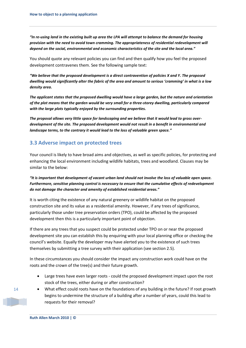*"In re-using land in the existing built up area the LPA will attempt to balance the demand for housing provision with the need to avoid town cramming. The appropriateness of residential redevelopment will depend on the social, environmental and economic characteristics of the site and the local area."*

You should quote any relevant policies you can find and then qualify how you feel the proposed development contravenes them. See the following sample text:

*"We believe that the proposed development is a direct contravention of policies X and Y. The proposed dwelling would significantly alter the fabric of the area and amount to serious 'cramming' in what is a low density area.* 

*The applicant states that the proposed dwelling would have a large garden, but the nature and orientation of the plot means that the garden would be very small for a three-storey dwelling, particularly compared with the large plots typically enjoyed by the surrounding properties.* 

*The proposal allows very little space for landscaping and we believe that it would lead to gross overdevelopment of the site. The proposed development would not result in a benefit in environmental and landscape terms, to the contrary it would lead to the loss of valuable green space."* 

### **3.3 Adverse impact on protected trees**

Your council is likely to have broad aims and objectives, as well as specific policies, for protecting and enhancing the local environment including wildlife habitats, trees and woodland. Clauses may be similar to the below:

*"It is important that development of vacant urban land should not involve the loss of valuable open space. Furthermore, sensitive planning control is necessary to ensure that the cumulative effects of redevelopment do not damage the character and amenity of established residential areas."*

It is worth citing the existence of any natural greenery or wildlife habitat on the proposed construction site and its value as a residential amenity. However, if any trees of significance, particularly those under tree preservation orders (TPO), could be affected by the proposed development then this is a particularly important point of objection.

If there are any trees that you suspect could be protected under TPO on or near the proposed development site you can establish this by enquiring with your local planning office or checking the council's website. Equally the developer may have alerted you to the existence of such trees themselves by submitting a tree survey with their application (see section 2.5).

In these circumstances you should consider the impact any construction work could have on the roots and the crown of the tree(s) and their future growth.

- Large trees have even larger roots could the proposed development impact upon the root stock of the trees, either during or after construction?
- What effect could roots have on the foundations of any building in the future? If root growth begins to undermine the structure of a building after a number of years, could this lead to requests for their removal?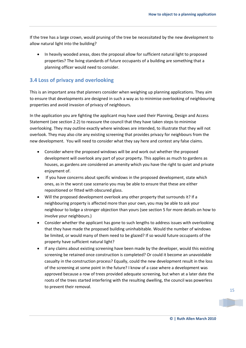If the tree has a large crown, would pruning of the tree be necessitated by the new development to allow natural light into the building?

 In heavily wooded areas, does the proposal allow for sufficient natural light to proposed properties? The living standards of future occupants of a building are something that a planning officer would need to consider.

### **3.4 Loss of privacy and overlooking**

This is an important area that planners consider when weighing up planning applications. They aim to ensure that developments are designed in such a way as to minimise overlooking of neighbouring properties and avoid invasion of privacy of neighbours.

In the application you are fighting the applicant may have used their Planning, Design and Access Statement (see section 2.2) to reassure the council that they have taken steps to minimise overlooking. They may outline exactly where windows are intended, to illustrate that they will not overlook. They may also cite any existing screening that provides privacy for neighbours from the new development. You will need to consider what they say here and contest any false claims.

- Consider where the proposed windows will be and work out whether the proposed development will overlook any part of your property. This applies as much to gardens as houses, as gardens are considered an amenity which you have the right to quiet and private enjoyment of.
- If you have concerns about specific windows in the proposed development, state which ones, as in the worst case scenario you may be able to ensure that these are either repositioned or fitted with obscured glass.
- Will the proposed development overlook any other property that surrounds it? If a neighbouring property is affected more than your own, you may be able to ask your neighbour to lodge a stronger objection than yours (see section 5 for more details on how to involve your neighbours.)
- Consider whether the applicant has gone to such lengths to address issues with overlooking that they have made the proposed building uninhabitable. Would the number of windows be limited, or would many of them need to be glazed? If so would future occupants of the property have sufficient natural light?
- If any claims about existing screening have been made by the developer, would this existing screening be retained once construction is completed? Or could it become an unavoidable casualty in the construction process? Equally, could the new development result in the loss of the screening at some point in the future? I know of a case where a development was approved because a row of trees provided adequate screening, but when at a later date the roots of the trees started interfering with the resulting dwelling, the council was powerless to prevent their removal.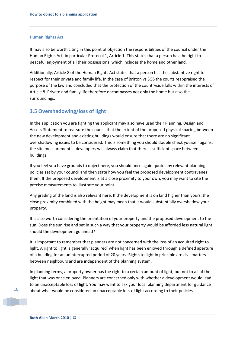#### **Human Rights Act**

It may also be worth citing in this point of objection the responsibilities of the council under the Human Rights Act, in particular Protocol 1, Article 1. This states that a person has the right to peaceful enjoyment of all their possessions, which includes the home and other land.

Additionally, Article 8 of the Human Rights Act states that a person has the substantive right to respect for their private and family life. In the case of Britton vs SOS the courts reappraised the purpose of the law and concluded that the protection of the countryside falls within the interests of Article 8. Private and family life therefore encompasses not only the home but also the surroundings.

### **3.5 Overshadowing/loss of light**

In the application you are fighting the applicant may also have used their Planning, Design and Access Statement to reassure the council that the extent of the proposed physical spacing between the new development and existing buildings would ensure that there are no significant overshadowing issues to be considered. This is something you should double check yourself against the site measurements - developers will always claim that there is sufficient space between buildings.

If you feel you have grounds to object here, you should once again quote any relevant planning policies set by your council and then state how you feel the proposed development contravenes them. If the proposed development is at a close proximity to your own, you may want to cite the precise measurements to illustrate your point.

Any grading of the land is also relevant here. If the development is on land higher than yours, the close proximity combined with the height may mean that it would substantially overshadow your property.

It is also worth considering the orientation of your property and the proposed development to the sun. Does the sun rise and set in such a way that your property would be afforded less natural light should the development go ahead?

It is important to remember that planners are not concerned with the loss of an acquired right to light. A right to light is generally 'acquired' when light has been enjoyed through a defined aperture of a building for an uninterrupted period of 20 years. Rights to light in principle are civil matters between neighbours and are independent of the planning system.

In planning terms, a property owner has the right to a certain amount of light, but not to all of the light that was once enjoyed. Planners are concerned only with whether a development would lead to an unacceptable loss of light. You may want to ask your local planning department for guidance about what would be considered an unacceptable loss of light according to their policies.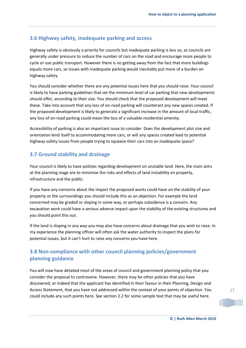### **3.6 Highway safety, inadequate parking and access**

Highway safety is obviously a priority for councils but inadequate parking is less so, as councils are generally under pressure to reduce the number of cars on the road and encourage more people to cycle or use public transport. However there is no getting away from the fact that more buildings equals more cars, so issues with inadequate parking would inevitably put more of a burden on highway safety.

You should consider whether there are any potential issues here that you should raise. Your council is likely to have parking guidelines that set the minimum level of car parking that new developments should offer, according to their size. You should check that the proposed development will meet these. Take into account that any loss of on-road parking will counteract any new spaces created. If the proposed development is likely to generate a significant increase in the amount of local traffic, any loss of on-road parking could mean the loss of a valuable residential amenity.

Accessibility of parking is also an important issue to consider. Does the development plot size and orientation lend itself to accommodating more cars, or will any spaces created lead to potential highway safety issues from people trying to squeeze their cars into an inadequate space?

### **3.7 Ground stability and drainage**

Your council is likely to have policies regarding development on unstable land. Here, the main aims at the planning stage are to minimise the risks and effects of land instability on property, infrastructure and the public.

If you have any concerns about the impact the proposed works could have on the stability of your property or the surroundings you should include this as an objection. For example the land concerned may be graded or sloping in some way, or perhaps subsidence is a concern. Any excavation work could have a serious adverse impact upon the stability of the existing structures and you should point this out.

If the land is sloping in any way you may also have concerns about drainage that you wish to raise. In my experience the planning officer will often ask the water authority to inspect the plans for potential issues, but it can't hurt to raise any concerns you have here.

### **3.8 Non-compliance with other council planning policies/government planning guidance**

You will now have detailed most of the areas of council and government planning policy that you consider the proposal to contravene. However, there may be other policies that you have discovered, or indeed that the applicant has identified in their favour in their Planning, Design and Access Statement, that you have not addressed within the context of your points of objection. You could include any such points here. See section 2.2 for some sample text that may be useful here.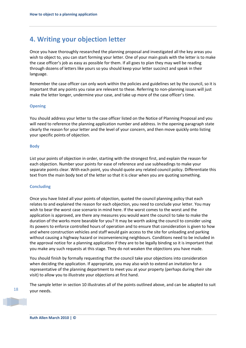# **4. Writing your objection letter**

Once you have thoroughly researched the planning proposal and investigated all the key areas you wish to object to, you can start forming your letter. One of your main goals with the letter is to make the case officer's job as easy as possible for them. If all goes to plan they may well be reading through dozens of letters like yours so you should keep your letter succinct and speak in their language.

Remember the case officer can only work within the policies and guidelines set by the council, so it is important that any points you raise are relevant to these. Referring to non-planning issues will just make the letter longer, undermine your case, and take up more of the case officer's time.

#### **Opening**

You should address your letter to the case officer listed on the Notice of Planning Proposal and you will need to reference the planning application number and address. In the opening paragraph state clearly the reason for your letter and the level of your concern, and then move quickly onto listing your specific points of objection.

#### **Body**

List your points of objection in order, starting with the strongest first, and explain the reason for each objection. Number your points for ease of reference and use subheadings to make your separate points clear. With each point, you should quote any related council policy. Differentiate this text from the main body text of the letter so that it is clear when you are quoting something.

#### **Concluding**

Once you have listed all your points of objection, quoted the council planning policy that each relates to and explained the reason for each objection, you need to conclude your letter. You may wish to bear the worst case scenario in mind here. If the worst comes to the worst and the application is approved, are there any measures you would want the council to take to make the duration of the works more bearable for you? It may be worth asking the council to consider using its powers to enforce controlled hours of operation and to ensure that consideration is given to how and where construction vehicles and staff would gain access to the site for unloading and parking without causing a highway hazard or inconveniencing neighbours. Conditions need to be included in the approval notice for a planning application if they are to be legally binding so it is important that you make any such requests at this stage. They do not weaken the objections you have made.

You should finish by formally requesting that the council take your objections into consideration when deciding the application. If appropriate, you may also wish to extend an invitation for a representative of the planning department to meet you at your property (perhaps during their site visit) to allow you to illustrate your objections at first hand.

The sample letter in section 10 illustrates all of the points outlined above, and can be adapted to suit your needs.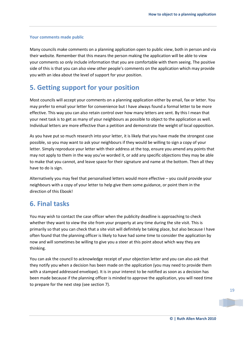#### **Your comments made public**

Many councils make comments on a planning application open to public view, both in person and via their website. Remember that this means the person making the application will be able to view your comments so only include information that you are comfortable with them seeing. The positive side of this is that you can also view other people's comments on the application which may provide you with an idea about the level of support for your position.

# **5. Getting support for your position**

Most councils will accept your comments on a planning application either by email, fax or letter. You may prefer to email your letter for convenience but I have always found a formal letter to be more effective. This way you can also retain control over how many letters are sent. By this I mean that your next task is to get as many of your neighbours as possible to object to the application as well. Individual letters are more effective than a petition and demonstrate the weight of local opposition.

As you have put so much research into your letter, it is likely that you have made the strongest case possible, so you may want to ask your neighbours if they would be willing to sign a copy of your letter. Simply reproduce your letter with their address at the top, ensure you amend any points that may not apply to them in the way you've worded it, or add any specific objections they may be able to make that you cannot, and leave space for their signature and name at the bottom. Then all they have to do is sign.

Alternatively you may feel that personalised letters would more effective – you could provide your neighbours with a copy of your letter to help give them some guidance, or point them in the direction of this Ebook!

# **6. Final tasks**

You may wish to contact the case officer when the publicity deadline is approaching to check whether they want to view the site from your property at any time during the site visit. This is primarily so that you can check that a site visit will definitely be taking place, but also because I have often found that the planning officer is likely to have had some time to consider the application by now and will sometimes be willing to give you a steer at this point about which way they are thinking.

You can ask the council to acknowledge receipt of your objection letter and you can also ask that they notify you when a decision has been made on the application (you may need to provide them with a stamped addressed envelope). It is in your interest to be notified as soon as a decision has been made because if the planning officer is minded to approve the application, you will need time to prepare for the next step (see section 7).

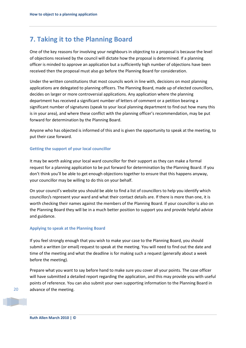# **7. Taking it to the Planning Board**

One of the key reasons for involving your neighbours in objecting to a proposal is because the level of objections received by the council will dictate how the proposal is determined. If a planning officer is minded to approve an application but a sufficiently high number of objections have been received then the proposal must also go before the Planning Board for consideration.

Under the written constitutions that most councils work in line with, decisions on most planning applications are delegated to planning officers. The Planning Board, made up of elected councillors, decides on larger or more controversial applications. Any application where the planning department has received a significant number of letters of comment or a petition bearing a significant number of signatures (speak to your local planning department to find out how many this is in your area), and where these conflict with the planning officer's recommendation, may be put forward for determination by the Planning Board.

Anyone who has objected is informed of this and is given the opportunity to speak at the meeting, to put their case forward.

#### **Getting the support of your local councillor**

It may be worth asking your local ward councillor for their support as they can make a formal request for a planning application to be put forward for determination by the Planning Board. If you don't think you'll be able to get enough objections together to ensure that this happens anyway, your councillor may be willing to do this on your behalf.

On your council's website you should be able to find a list of councillors to help you identify which councillor/s represent your ward and what their contact details are. If there is more than one, it is worth checking their names against the members of the Planning Board. If your councillor is also on the Planning Board they will be in a much better position to support you and provide helpful advice and guidance.

#### **Applying to speak at the Planning Board**

If you feel strongly enough that you wish to make your case to the Planning Board, you should submit a written (or email) request to speak at the meeting. You will need to find out the date and time of the meeting and what the deadline is for making such a request (generally about a week before the meeting).

Prepare what you want to say before hand to make sure you cover all your points. The case officer will have submitted a detailed report regarding the application, and this may provide you with useful points of reference. You can also submit your own supporting information to the Planning Board in advance of the meeting.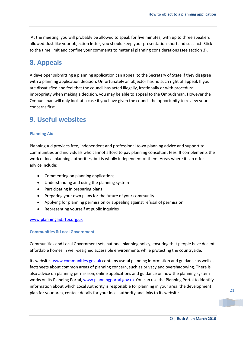At the meeting, you will probably be allowed to speak for five minutes, with up to three speakers allowed. Just like your objection letter, you should keep your presentation short and succinct. Stick to the time limit and confine your comments to material planning considerations (see section 3).

# **8. Appeals**

A developer submitting a planning application can appeal to the Secretary of State if they disagree with a planning application decision. Unfortunately an objector has no such right of appeal. If you are dissatisfied and feel that the council has acted illegally, irrationally or with procedural impropriety when making a decision, you may be able to appeal to the Ombudsman. However the Ombudsman will only look at a case if you have given the council the opportunity to review your concerns first.

# **9. Useful websites**

### **Planning Aid**

Planning Aid provides free, independent and professional town planning advice and support to communities and individuals who cannot afford to pay planning consultant fees. It complements the work of local planning authorities, but is wholly independent of them. Areas where it can offer advice include:

- Commenting on planning applications
- Understanding and using the planning system
- Participating in preparing plans
- Preparing your own plans for the future of your community
- Applying for planning permission or appealing against refusal of permission
- Representing yourself at public inquiries

### [www.planningaid.rtpi.org.uk](http://www.planningaid.rtpi.org.uk/)

### **Communities & Local Government**

Communities and Local Government sets national planning policy, ensuring that people have decent affordable homes in well-designed accessible environments while protecting the countryside.

Its website, [www.communities.gov.uk](http://www.communities.gov.uk/) contains useful planning information and guidance as well as factsheets about common areas of planning concern, such as privacy and overshadowing. There is also advice on planning permission, online applications and guidance on how the planning system works on its Planning Portal, [www.planningportal.gov.uk](http://www.planningportal.gov.uk/) You can use the Planning Portal to identify information about which Local Authority is responsible for planning in your area, the development plan for your area, contact details for your local authority and links to its website.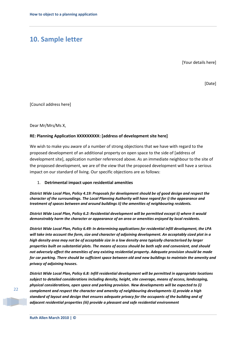# **10. Sample letter**

[Your details here]

[Date]

[Council address here]

Dear Mr/Mrs/Ms X,

#### **RE: Planning Application XXXXXXXXX: [address of development site here]**

We wish to make you aware of a number of strong objections that we have with regard to the proposed development of an additional property on open space to the side of [address of development site], application number referenced above. As an immediate neighbour to the site of the proposed development, we are of the view that the proposed development will have a serious impact on our standard of living. Our specific objections are as follows:

#### 1. **Detrimental impact upon residential amenities**

*District Wide Local Plan, Policy 4.19: Proposals for development should be of good design and respect the character of the surroundings. The Local Planning Authority will have regard for i) the appearance and treatment of spaces between and around buildings ii) the amenities of neighbouring residents.* 

*District Wide Local Plan, Policy 6.2: Residential development will be permitted except ii) where it would demonstrably harm the character or appearance of an area or amenities enjoyed by local residents.* 

*District Wide Local Plan, Policy 6.49: In determining applications for residential infill development, the LPA will take into account the form, size and character of adjoining development. An acceptably sized plot in a high density area may not be of acceptable size in a low density area typically characterised by larger properties built on substantial plots. The means of access should be both safe and convenient, and should not adversely affect the amenities of any existing residential property. Adequate provision should be made for car parking. There should be sufficient space between old and new buildings to maintain the amenity and privacy of adjoining houses.* 

*District Wide Local Plan, Policy 6.8: Infill residential development will be permitted in appropriate locations subject to detailed considerations including density, height, site coverage, means of access, landscaping, physical considerations, open space and parking provision. New developments will be expected to (i) complement and respect the character and amenity of neighbouring developments ii) provide a high standard of layout and design that ensures adequate privacy for the occupants of the building and of adjacent residential properties (iii) provide a pleasant and safe residential environment*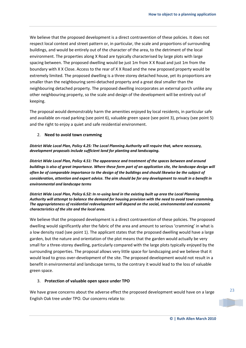We believe that the proposed development is a direct contravention of these policies. It does not respect local context and street pattern or, in particular, the scale and proportions of surrounding buildings, and would be entirely out of the character of the area, to the detriment of the local environment. The properties along X Road are typically characterised by large plots with large spacing between. The proposed dwelling would be just 1m from X X Road and just 1m from the boundary with X X Close. Access to the rear of X X Road and the new proposed property would be extremely limited. The proposed dwelling is a three storey detached house, yet its proportions are smaller than the neighbouring semi-detached property and a great deal smaller than the neighbouring detached property. The proposed dwelling incorporates an external porch unlike any other neighbouring property, so the scale and design of the development will be entirely out of keeping.

The proposal would demonstrably harm the amenities enjoyed by local residents, in particular safe and available on-road parking (see point 6), valuable green space (see point 3), privacy (see point 5) and the right to enjoy a quiet and safe residential environment.

### 2. **Need to avoid town cramming**

### *District Wide Local Plan, Policy 4.25: The Local Planning Authority will require that, where necessary, development proposals include sufficient land for planting and landscaping.*

*District Wide Local Plan, Policy 4.51: The appearance and treatment of the spaces between and around buildings is also of great importance. Where these form part of an application site, the landscape design will often be of comparable importance to the design of the buildings and should likewise be the subject of consideration, attention and expert advice. The aim should be for any development to result in a benefit in environmental and landscape terms*

*District Wide Local Plan, Policy 6.52: In re-using land in the existing built up area the Local Planning Authority will attempt to balance the demand for housing provision with the need to avoid town cramming. The appropriateness of residential redevelopment will depend on the social, environmental and economic characteristics of the site and the local area.* 

We believe that the proposed development is a direct contravention of these policies. The proposed dwelling would significantly alter the fabric of the area and amount to serious 'cramming' in what is a low density road (see point 1). The applicant states that the proposed dwelling would have a large garden, but the nature and orientation of the plot means that the garden would actually be very small for a three-storey dwelling, particularly compared with the large plots typically enjoyed by the surrounding properties. The proposal allows very little space for landscaping and we believe that it would lead to gross over-development of the site. The proposed development would not result in a benefit in environmental and landscape terms, to the contrary it would lead to the loss of valuable green space.

### 3. **Protection of valuable open space under TPO**

We have grave concerns about the adverse effect the proposed development would have on a large English Oak tree under TPO. Our concerns relate to: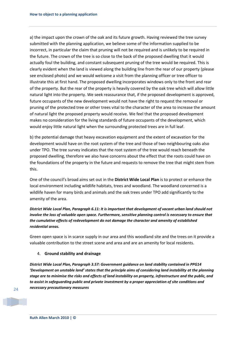a) the impact upon the crown of the oak and its future growth. Having reviewed the tree survey submitted with the planning application, we believe some of the information supplied to be incorrect, in particular the claim that pruning will not be required and is unlikely to be required in the future. The crown of the tree is so close to the back of the proposed dwelling that it would actually foul the building, and constant subsequent pruning of the tree would be required. This is clearly evident when the land is viewed along the building line from the rear of our property (please see enclosed photo) and we would welcome a visit from the planning officer or tree officer to illustrate this at first hand. The proposed dwelling incorporates windows only to the front and rear of the property. But the rear of the property is heavily covered by the oak tree which will allow little natural light into the property. We seek reassurance that, if the proposed development is approved, future occupants of the new development would not have the right to request the removal or pruning of the protected tree or other trees vital to the character of the area to increase the amount of natural light the proposed property would receive. We feel that the proposed development makes no consideration for the living standards of future occupants of the development, which would enjoy little natural light when the surrounding protected trees are in full leaf.

b) the potential damage that heavy excavation equipment and the extent of excavation for the development would have on the root system of the tree and those of two neighbouring oaks also under TPO. The tree survey indicates that the root system of the tree would reach beneath the proposed dwelling, therefore we also have concerns about the effect that the roots could have on the foundations of the property in the future and requests to remove the tree that might stem from this.

One of the council's broad aims set out in the **District Wide Local Plan** is to protect or enhance the local environment including wildlife habitats, trees and woodland. The woodland concerned is a wildlife haven for many birds and animals and the oak trees under TPO add significantly to the amenity of the area.

*District Wide Local Plan, Paragraph 6.11: It is important that development of vacant urban land should not involve the loss of valuable open space. Furthermore, sensitive planning control is necessary to ensure that the cumulative effects of redevelopment do not damage the character and amenity of established residential areas.*

Green open space is in scarce supply in our area and this woodland site and the trees on it provide a valuable contribution to the street scene and area and are an amenity for local residents.

#### 4. **Ground stability and drainage**

*District Wide Local Plan, Paragraph 3.57: Government guidance on land stability contained in PPG14 'Development on unstable land' states that the principle aims of considering land instability at the planning stage are to minimise the risks and effects of land instability on property, infrastructure and the public, and to assist in safeguarding public and private investment by a proper appreciation of site conditions and necessary precautionary measures*

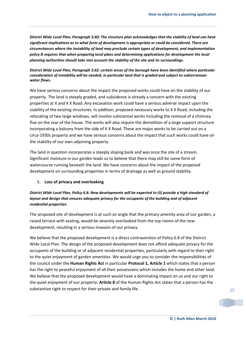*District Wide Local Plan, Paragraph 3.60: The structure plan acknowledges that the stability of land can have significant implications as to what form of development is appropriate or could be considered. There are circumstances where the instability of land may preclude certain types of development, and implementation policy B requires that when preparing local plans and determining applications for development the local planning authorities should take into account the stability of the site and its surroundings.*

### *District Wide Local Plan, Paragraph 3.62: certain areas of the borough have been identified where particular consideration of instability will be needed, in particular land that is graded and subject to subterranean water flows.*

We have serious concerns about the impact the proposed works could have on the stability of our property. The land is steeply graded, and subsidence is already a concern with the existing properties at X and X X Road. Any excavation work could have a serious adverse impact upon the stability of the existing structures. In addition, proposed necessary works to X X Road, including the relocating of two large windows, will involve substantial works including the removal of a chimney flue on the rear of the house. The works will also require the demolition of a large support structure incorporating a balcony from the side of X X Road. These are major works to be carried out on a circa-1930s property and we have serious concerns about the impact that such works could have on the stability of our own adjoining property.

The land in question incorporates a steeply sloping bank and was once the site of a stream. Significant moisture in our garden leads us to believe that there may still be some form of watercourse running beneath the land. We have concerns about the impact of the proposed development on surrounding properties in terms of drainage as well as ground stability.

### 5. **Loss of privacy and overlooking**

### *District Wide Local Plan, Policy 6.8: New developments will be expected to (ii) provide a high standard of layout and design that ensures adequate privacy for the occupants of the building and of adjacent residential properties.*

The proposed site of development is at such an angle that the primary amenity area of our garden, a raised terrace with seating, would be severely overlooked from the top rooms of the new development, resulting in a serious invasion of our privacy.

We believe that the proposed development is a direct contravention of Policy 6.8 of the District Wide Local Plan. The design of the proposed development does not afford adequate privacy for the occupants of the building or of adjacent residential properties, particularly with regard to their right to the quiet enjoyment of garden amenities. We would urge you to consider the responsibilities of the council under the **Human Rights Act** in particular **Protocol 1, Article 1** which states that a person has the right to peaceful enjoyment of all their possessions which includes the home and other land. We believe that the proposed development would have a dominating impact on us and our right to the quiet enjoyment of our property. **Article 8** of the Human Rights Act states that a person has the substantive right to respect for their private and family life.

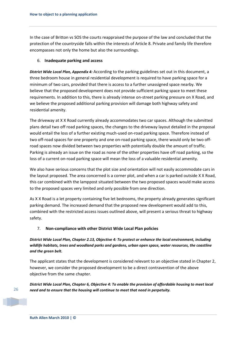In the case of Britton vs SOS the courts reappraised the purpose of the law and concluded that the protection of the countryside falls within the interests of Article 8. Private and family life therefore encompasses not only the home but also the surroundings.

### 6. **Inadequate parking and access**

*District Wide Local Plan, Appendix 4:* According to the parking guidelines set out in this document, a three bedroom house in general residential development is required to have parking space for a minimum of two cars, provided that there is access to a further unassigned space nearby. We believe that the proposed development does not provide sufficient parking space to meet these requirements. In addition to this, there is already intense on-street parking pressure on X Road, and we believe the proposed additional parking provision will damage both highway safety and residential amenity.

The driveway at X X Road currently already accommodates two car spaces. Although the submitted plans detail two off road parking spaces, the changes to the driveway layout detailed in the proposal would entail the loss of a further existing much-used on-road parking space. Therefore instead of two off-road spaces for one property and one on-road parking space, there would only be two offroad spaces now divided between two properties with potentially double the amount of traffic. Parking is already an issue on the road as none of the other properties have off road parking, so the loss of a current on-road parking space will mean the loss of a valuable residential amenity.

We also have serious concerns that the plot size and orientation will not easily accommodate cars in the layout proposed. The area concerned is a corner plot, and when a car is parked outside X X Road, this car combined with the lamppost situated between the two proposed spaces would make access to the proposed spaces very limited and only possible from one direction.

As X X Road is a let property containing five let bedrooms, the property already generates significant parking demand. The increased demand that the proposed new development would add to this, combined with the restricted access issues outlined above, will present a serious threat to highway safety.

### 7. **Non-compliance with other District Wide Local Plan policies**

*District Wide Local Plan, Chapter 2.13, Objective 4: To protect or enhance the local environment, including wildlife habitats, trees and woodland parks and gardens, urban open space, water resources, the coastline and the green belt.* 

The applicant states that the development is considered relevant to an objective stated in Chapter 2, however, we consider the proposed development to be a direct contravention of the above objective from the same chapter.

*District Wide Local Plan, Chapter 6, Objective 4: To enable the provision of affordable housing to meet local need and to ensure that the housing will continue to meet that need in perpetuity.*

26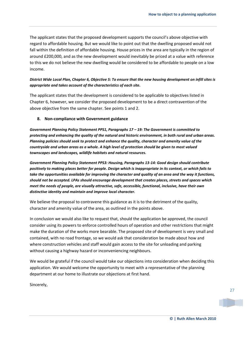The applicant states that the proposed development supports the council's above objective with regard to affordable housing. But we would like to point out that the dwelling proposed would not fall within the definition of affordable housing. House prices in the area are typically in the region of around £200,000, and as the new development would inevitably be priced at a value with reference to this we do not believe the new dwelling would be considered to be affordable to people on a low income.

### *District Wide Local Plan, Chapter 6, Objective 5: To ensure that the new housing development on infill sites is appropriate and takes account of the characteristics of each site.*

The applicant states that the development is considered to be applicable to objectives listed in Chapter 6, however, we consider the proposed development to be a direct contravention of the above objective from the same chapter. See points 1 and 2.

#### **8. Non-compliance with Government guidance**

*Government Planning Policy Statement PPS1, Paragraphs 17 – 19: The Government is committed to protecting and enhancing the quality of the natural and historic environment, in both rural and urban areas. Planning policies should seek to protect and enhance the quality, character and amenity value of the countryside and urban areas as a whole. A high level of protection should be given to most valued townscapes and landscapes, wildlife habitats and natural resources.* 

*Government Planning Policy Statement PPS3: Housing, Paragraphs 13-14: Good design should contribute positively to making places better for people. Design which is inappropriate in its context, or which fails to take the opportunities available for improving the character and quality of an area and the way it functions, should not be accepted. LPAs should encourage development that creates places, streets and spaces which meet the needs of people, are visually attractive, safe, accessible, functional, inclusive, have their own distinctive identity and maintain and improve local character.*

We believe the proposal to contravene this guidance as it is to the detriment of the quality. character and amenity value of the area, as outlined in the points above.

In conclusion we would also like to request that, should the application be approved, the council consider using its powers to enforce controlled hours of operation and other restrictions that might make the duration of the works more bearable. The proposed site of development is very small and contained, with no road frontage, so we would ask that consideration be made about how and where construction vehicles and staff would gain access to the site for unloading and parking without causing a highway hazard or inconveniencing neighbours.

We would be grateful if the council would take our objections into consideration when deciding this application. We would welcome the opportunity to meet with a representative of the planning department at our home to illustrate our objections at first hand.

Sincerely,

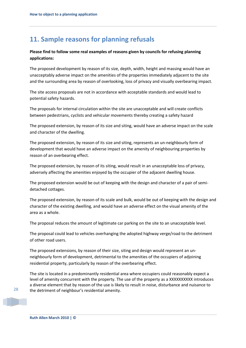# **11. Sample reasons for planning refusals**

### **Please find to follow some real examples of reasons given by councils for refusing planning applications:**

The proposed development by reason of its size, depth, width, height and massing would have an unacceptably adverse impact on the amenities of the properties immediately adjacent to the site and the surrounding area by reason of overlooking, loss of privacy and visually overbearing impact.

The site access proposals are not in accordance with acceptable standards and would lead to potential safety hazards.

The proposals for internal circulation within the site are unacceptable and will create conflicts between pedestrians, cyclists and vehicular movements thereby creating a safety hazard

The proposed extension, by reason of its size and siting, would have an adverse impact on the scale and character of the dwelling.

The proposed extension, by reason of its size and siting, represents an un-neighbourly form of development that would have an adverse impact on the amenity of neighbouring properties by reason of an overbearing effect.

The proposed extension, by reason of its siting, would result in an unacceptable loss of privacy, adversely affecting the amenities enjoyed by the occupier of the adjacent dwelling house.

The proposed extension would be out of keeping with the design and character of a pair of semidetached cottages.

The proposed extension, by reason of its scale and bulk, would be out of keeping with the design and character of the existing dwelling, and would have an adverse effect on the visual amenity of the area as a whole.

The proposal reduces the amount of legitimate car parking on the site to an unacceptable level.

The proposal could lead to vehicles overhanging the adopted highway verge/road to the detriment of other road users.

The proposed extensions, by reason of their size, siting and design would represent an unneighbourly form of development, detrimental to the amenities of the occupiers of adjoining residential property, particularly by reason of the overbearing effect.

The site is located in a predominantly residential area where occupiers could reasonably expect a level of amenity concurrent with the property. The use of the property as a XXXXXXXXXX introduces a diverse element that by reason of the use is likely to result in noise, disturbance and nuisance to the detriment of neighbour's residential amenity.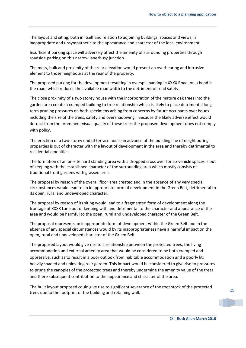The layout and siting, both in itself and relation to adjoining buildings, spaces and views, is inappropriate and unsympathetic to the appearance and character of the local environment.

Insufficient parking space will adversely affect the amenity of surrounding properties through roadside parking on this narrow lane/busy junction.

The mass, bulk and proximity of the rear elevation would present an overbearing and intrusive element to those neighbours at the rear of the property.

The proposed parking for the development resulting in overspill parking in XXXX Road, on a bend in the road, which reduces the available road width to the detriment of road safety.

The close proximity of a two storey house with the incorporation of the mature oak trees into the garden area create a cramped building to tree relationship which is likely to place detrimental long term pruning pressures on both specimens arising from concerns by future occupants over issues including the size of the trees, safety and overshadowing. Because the likely adverse effect would detract from the prominent visual quality of these trees the proposed development does not comply with policy.

The erection of a two-storey end of terrace house in advance of the building line of neighbouring properties is out of character with the layout of development in the area and thereby detrimental to residential amenities.

The formation of an on-site hard standing area with a dropped cross over for six vehicle spaces is out of keeping with the established character of the surrounding area which mostly consists of traditional front gardens with grassed area.

The proposal by reason of the overall floor area created and in the absence of any very special circumstances would lead to an inappropriate form of development in the Green Belt, detrimental to its open, rural and undeveloped character.

The proposal by reason of its siting would lead to a fragmented form of development along the frontage of XXXX Lane out of keeping with and detrimental to the character and appearance of the area and would be harmful to the open, rural and undeveloped character of the Green Belt.

The proposal represents an inappropriate form of development within the Green Belt and in the absence of any special circumstances would by its inappropriateness have a harmful impact on the open, rural and undeveloped character of the Green Belt.

The proposed layout would give rise to a relationship between the protected trees, the living accommodation and external amenity area that would be considered to be both cramped and oppressive, such as to result in a poor outlook from habitable accommodation and a poorly lit, heavily shaded and uninviting rear garden. This impact would be considered to give rise to pressures to prune the canopies of the protected trees and thereby undermine the amenity value of the trees and there subsequent contribution to the appearance and character of the area.

The built layout proposed could give rise to significant severance of the root stock of the protected trees due to the footprint of the building and retaining wall.